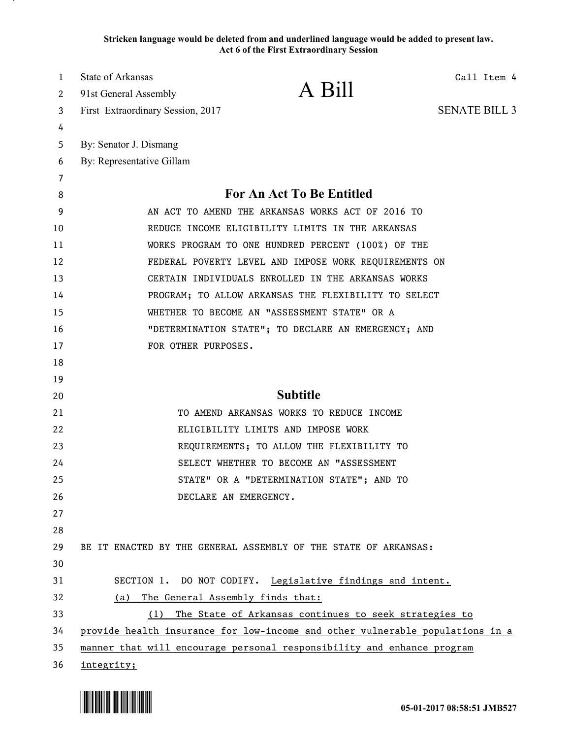**Stricken language would be deleted from and underlined language would be added to present law. Act 6 of the First Extraordinary Session**

| 1        | <b>State of Arkansas</b>          | A Bill                                                                                                                                                  | Call Item 4          |
|----------|-----------------------------------|---------------------------------------------------------------------------------------------------------------------------------------------------------|----------------------|
| 2        | 91st General Assembly             |                                                                                                                                                         |                      |
| 3        | First Extraordinary Session, 2017 |                                                                                                                                                         | <b>SENATE BILL 3</b> |
| 4        |                                   |                                                                                                                                                         |                      |
| 5        | By: Senator J. Dismang            |                                                                                                                                                         |                      |
| 6        | By: Representative Gillam         |                                                                                                                                                         |                      |
| 7<br>8   |                                   | <b>For An Act To Be Entitled</b>                                                                                                                        |                      |
| 9        |                                   | AN ACT TO AMEND THE ARKANSAS WORKS ACT OF 2016 TO                                                                                                       |                      |
| 10       |                                   | REDUCE INCOME ELIGIBILITY LIMITS IN THE ARKANSAS                                                                                                        |                      |
| 11       |                                   | WORKS PROGRAM TO ONE HUNDRED PERCENT (100%) OF THE                                                                                                      |                      |
| 12       |                                   | FEDERAL POVERTY LEVEL AND IMPOSE WORK REQUIREMENTS ON                                                                                                   |                      |
| 13       |                                   | CERTAIN INDIVIDUALS ENROLLED IN THE ARKANSAS WORKS                                                                                                      |                      |
| 14       |                                   | PROGRAM; TO ALLOW ARKANSAS THE FLEXIBILITY TO SELECT                                                                                                    |                      |
| 15       |                                   | WHETHER TO BECOME AN "ASSESSMENT STATE" OR A                                                                                                            |                      |
| 16       |                                   | "DETERMINATION STATE"; TO DECLARE AN EMERGENCY; AND                                                                                                     |                      |
| 17       | FOR OTHER PURPOSES.               |                                                                                                                                                         |                      |
| 18       |                                   |                                                                                                                                                         |                      |
| 19       |                                   |                                                                                                                                                         |                      |
| 20       |                                   | <b>Subtitle</b>                                                                                                                                         |                      |
| 21       |                                   | TO AMEND ARKANSAS WORKS TO REDUCE INCOME                                                                                                                |                      |
| 22       |                                   | ELIGIBILITY LIMITS AND IMPOSE WORK                                                                                                                      |                      |
| 23       |                                   | REQUIREMENTS; TO ALLOW THE FLEXIBILITY TO                                                                                                               |                      |
| 24       |                                   | SELECT WHETHER TO BECOME AN "ASSESSMENT                                                                                                                 |                      |
| 25       |                                   | STATE" OR A "DETERMINATION STATE"; AND TO                                                                                                               |                      |
| 26       |                                   | DECLARE AN EMERGENCY.                                                                                                                                   |                      |
| 27       |                                   |                                                                                                                                                         |                      |
| 28       |                                   |                                                                                                                                                         |                      |
| 29       |                                   | BE IT ENACTED BY THE GENERAL ASSEMBLY OF THE STATE OF ARKANSAS:                                                                                         |                      |
| 30       |                                   |                                                                                                                                                         |                      |
| 31       |                                   | SECTION 1. DO NOT CODIFY. Legislative findings and intent.                                                                                              |                      |
| 32       | (a)                               | The General Assembly finds that:                                                                                                                        |                      |
| 33<br>34 |                                   | (1) The State of Arkansas continues to seek strategies to                                                                                               |                      |
| 35       |                                   | provide health insurance for low-income and other vulnerable populations in a<br>manner that will encourage personal responsibility and enhance program |                      |
| 36       | integrity;                        |                                                                                                                                                         |                      |

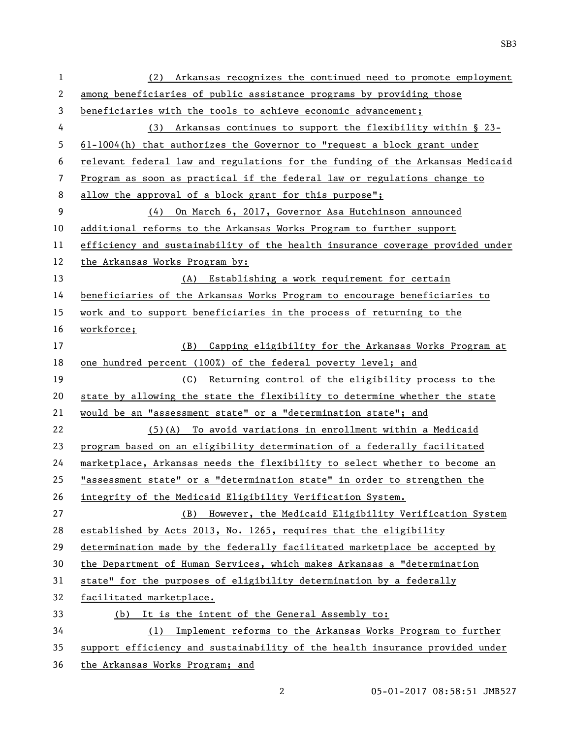| 1  | Arkansas recognizes the continued need to promote employment<br>(2)           |  |  |
|----|-------------------------------------------------------------------------------|--|--|
| 2  | among beneficiaries of public assistance programs by providing those          |  |  |
| 3  | beneficiaries with the tools to achieve economic advancement;                 |  |  |
| 4  | (3) Arkansas continues to support the flexibility within $\S$ 23-             |  |  |
| 5  | $61-1004(h)$ that authorizes the Governor to "request a block grant under     |  |  |
| 6  | relevant federal law and regulations for the funding of the Arkansas Medicaid |  |  |
| 7  | Program as soon as practical if the federal law or regulations change to      |  |  |
| 8  | allow the approval of a block grant for this purpose";                        |  |  |
| 9  | (4) On March 6, 2017, Governor Asa Hutchinson announced                       |  |  |
| 10 | additional reforms to the Arkansas Works Program to further support           |  |  |
| 11 | efficiency and sustainability of the health insurance coverage provided under |  |  |
| 12 | the Arkansas Works Program by:                                                |  |  |
| 13 | (A) Establishing a work requirement for certain                               |  |  |
| 14 | beneficiaries of the Arkansas Works Program to encourage beneficiaries to     |  |  |
| 15 | work and to support beneficiaries in the process of returning to the          |  |  |
| 16 | workforce;                                                                    |  |  |
| 17 | Capping eligibility for the Arkansas Works Program at<br>(B)                  |  |  |
| 18 | one hundred percent (100%) of the federal poverty level; and                  |  |  |
| 19 | (C) Returning control of the eligibility process to the                       |  |  |
| 20 | state by allowing the state the flexibility to determine whether the state    |  |  |
| 21 | would be an "assessment state" or a "determination state"; and                |  |  |
| 22 | $(5)$ (A) To avoid variations in enrollment within a Medicaid                 |  |  |
| 23 | program based on an eligibility determination of a federally facilitated      |  |  |
| 24 | marketplace, Arkansas needs the flexibility to select whether to become an    |  |  |
| 25 | "assessment state" or a "determination state" in order to strengthen the      |  |  |
| 26 | integrity of the Medicaid Eligibility Verification System.                    |  |  |
| 27 | However, the Medicaid Eligibility Verification System<br>(B)                  |  |  |
| 28 | established by Acts 2013, No. 1265, requires that the eligibility             |  |  |
| 29 | determination made by the federally facilitated marketplace be accepted by    |  |  |
| 30 | the Department of Human Services, which makes Arkansas a "determination       |  |  |
| 31 | state" for the purposes of eligibility determination by a federally           |  |  |
| 32 | facilitated marketplace.                                                      |  |  |
| 33 | It is the intent of the General Assembly to:<br>(b)                           |  |  |
| 34 | Implement reforms to the Arkansas Works Program to further<br>(1)             |  |  |
| 35 | support efficiency and sustainability of the health insurance provided under  |  |  |
| 36 | the Arkansas Works Program; and                                               |  |  |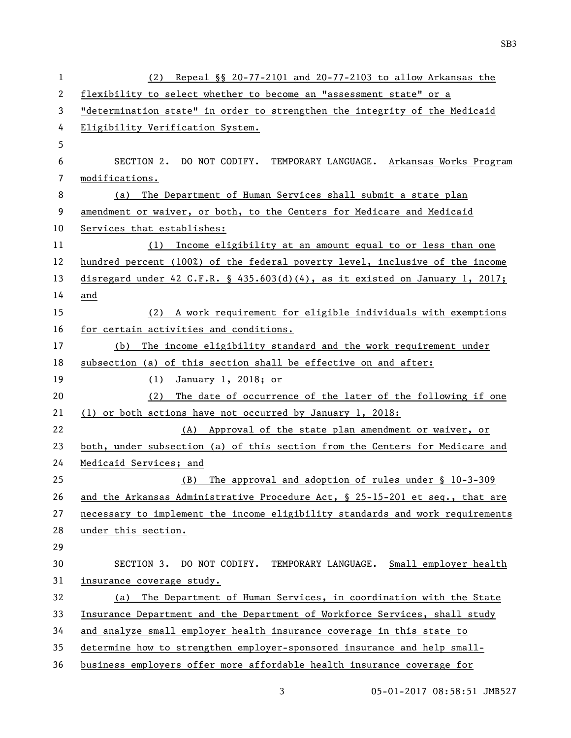| $\mathbf{1}$ | Repeal $\S$ 20-77-2101 and 20-77-2103 to allow Arkansas the<br>(2)            |  |
|--------------|-------------------------------------------------------------------------------|--|
| 2            | flexibility to select whether to become an "assessment state" or a            |  |
| 3            | "determination state" in order to strengthen the integrity of the Medicaid    |  |
| 4            | Eligibility Verification System.                                              |  |
| 5            |                                                                               |  |
| 6            | SECTION 2. DO NOT CODIFY. TEMPORARY LANGUAGE. Arkansas Works Program          |  |
| 7            | modifications.                                                                |  |
| 8            | The Department of Human Services shall submit a state plan<br>(a)             |  |
| 9            | amendment or waiver, or both, to the Centers for Medicare and Medicaid        |  |
| 10           | Services that establishes:                                                    |  |
| 11           | (1) Income eligibility at an amount equal to or less than one                 |  |
| 12           | hundred percent (100%) of the federal poverty level, inclusive of the income  |  |
| 13           | disregard under 42 C.F.R. § 435.603(d)(4), as it existed on January 1, 2017;  |  |
| 14           | and                                                                           |  |
| 15           | (2) A work requirement for eligible individuals with exemptions               |  |
| 16           | for certain activities and conditions.                                        |  |
| 17           | (b) The income eligibility standard and the work requirement under            |  |
| 18           | subsection (a) of this section shall be effective on and after:               |  |
| 19           | January 1, 2018; or<br>(1)                                                    |  |
| 20           | The date of occurrence of the later of the following if one<br>(2)            |  |
| 21           | (1) or both actions have not occurred by January 1, 2018:                     |  |
| 22           | (A) Approval of the state plan amendment or waiver, or                        |  |
| 23           | both, under subsection (a) of this section from the Centers for Medicare and  |  |
| 24           | Medicaid Services; and                                                        |  |
| 25           | The approval and adoption of rules under § 10-3-309<br>(B)                    |  |
| 26           | and the Arkansas Administrative Procedure Act, § 25-15-201 et seq., that are  |  |
| 27           | necessary to implement the income eligibility standards and work requirements |  |
| 28           | under this section.                                                           |  |
| 29           |                                                                               |  |
| 30           | SECTION 3. DO NOT CODIFY. TEMPORARY LANGUAGE. Small employer health           |  |
| 31           | insurance coverage study.                                                     |  |
| 32           | The Department of Human Services, in coordination with the State<br>(a)       |  |
| 33           | Insurance Department and the Department of Workforce Services, shall study    |  |
| 34           | and analyze small employer health insurance coverage in this state to         |  |
| 35           | determine how to strengthen employer-sponsored insurance and help small-      |  |
| 36           | business employers offer more affordable health insurance coverage for        |  |

3 05-01-2017 08:58:51 JMB527

SB3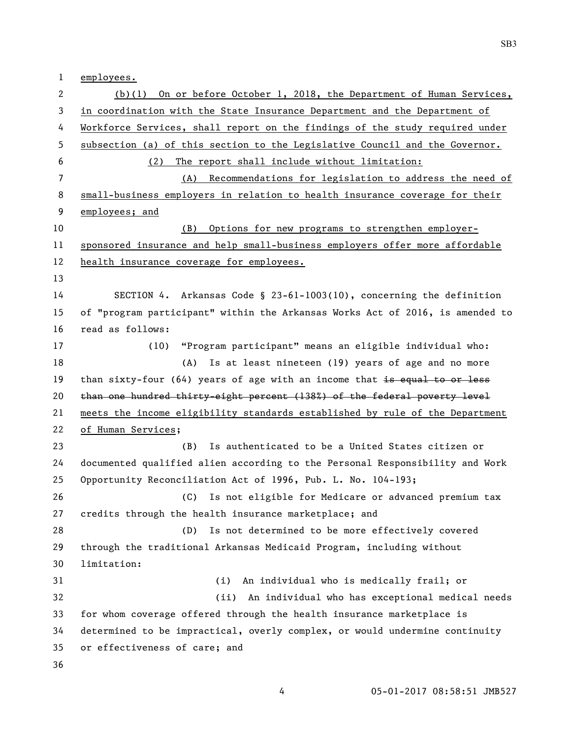employees.

 (b)(1) On or before October 1, 2018, the Department of Human Services, in coordination with the State Insurance Department and the Department of Workforce Services, shall report on the findings of the study required under subsection (a) of this section to the Legislative Council and the Governor. (2) The report shall include without limitation: (A) Recommendations for legislation to address the need of small-business employers in relation to health insurance coverage for their employees; and (B) Options for new programs to strengthen employer- sponsored insurance and help small-business employers offer more affordable health insurance coverage for employees. SECTION 4. Arkansas Code § 23-61-1003(10), concerning the definition of "program participant" within the Arkansas Works Act of 2016, is amended to read as follows: (10) "Program participant" means an eligible individual who: 18 (A) Is at least nineteen (19) years of age and no more 19 than sixty-four (64) years of age with an income that is equal to or less than one hundred thirty-eight percent (138%) of the federal poverty level meets the income eligibility standards established by rule of the Department of Human Services; (B) Is authenticated to be a United States citizen or documented qualified alien according to the Personal Responsibility and Work Opportunity Reconciliation Act of 1996, Pub. L. No. 104-193; (C) Is not eligible for Medicare or advanced premium tax credits through the health insurance marketplace; and (D) Is not determined to be more effectively covered through the traditional Arkansas Medicaid Program, including without limitation: (i) An individual who is medically frail; or (ii) An individual who has exceptional medical needs for whom coverage offered through the health insurance marketplace is determined to be impractical, overly complex, or would undermine continuity or effectiveness of care; and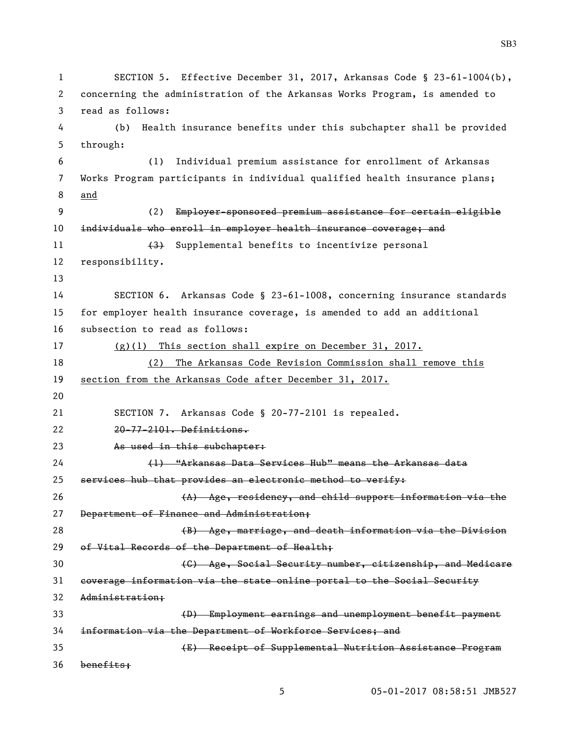```
1 SECTION 5. Effective December 31, 2017, Arkansas Code § 23-61-1004(b), 
2 concerning the administration of the Arkansas Works Program, is amended to 
3 read as follows:
4 (b) Health insurance benefits under this subchapter shall be provided 
5 through:
6 (1) Individual premium assistance for enrollment of Arkansas 
7 Works Program participants in individual qualified health insurance plans; 
8 and
9 (2) Employer-sponsored premium assistance for certain eligible 
10 individuals who enroll in employer health insurance coverage; and
11 (3) Supplemental benefits to incentivize personal
12 responsibility.
13
14 SECTION 6. Arkansas Code § 23-61-1008, concerning insurance standards 
15 for employer health insurance coverage, is amended to add an additional 
16 subsection to read as follows:
17 (g)(1) This section shall expire on December 31, 2017.
18 (2) The Arkansas Code Revision Commission shall remove this 
19 section from the Arkansas Code after December 31, 2017.
20
21 SECTION 7. Arkansas Code § 20-77-2101 is repealed.
22 20-77-2101. Definitions.
23 As used in this subchapter:
24 (1) "Arkansas Data Services Hub" means the Arkansas data 
25 services hub that provides an electronic method to verify:
26 (A) Age, residency, and child support information via the 
27 Department of Finance and Administration;
28 (B) Age, marriage, and death information via the Division 
29 of Vital Records of the Department of Health;
30 (C) Age, Social Security number, citizenship, and Medicare 
31 coverage information via the state online portal to the Social Security 
32 Administration;
33 (D) Employment earnings and unemployment benefit payment 
34 information via the Department of Workforce Services; and
35 (E) Receipt of Supplemental Nutrition Assistance Program 
36 benefits;
```
05-01-2017 08:58:51 JMB527

SB3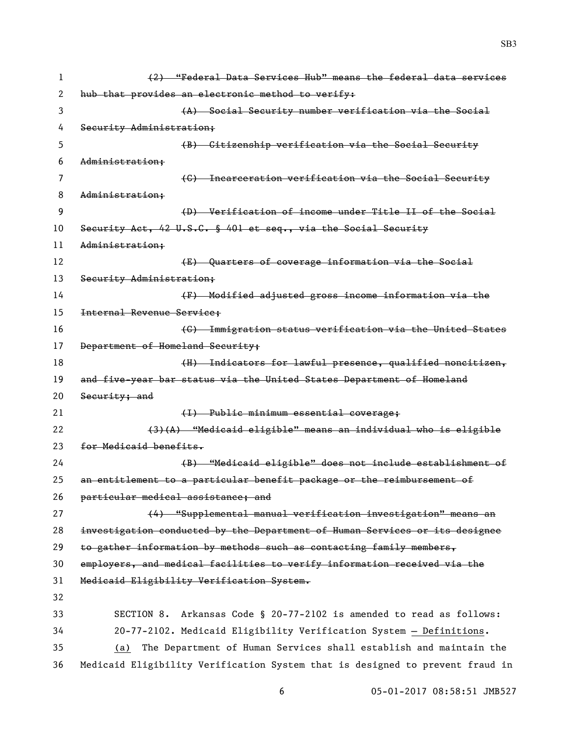(2) "Federal Data Services Hub" means the federal data services 2 hub that provides an electronic method to verify: (A) Social Security number verification via the Social Security Administration; (B) Citizenship verification via the Social Security Administration; 7 (G) Incarceration verification via the Social Security Administration; (D) Verification of income under Title II of the Social Security Act, 42 U.S.C. § 401 et seq., via the Social Security Administration; **E** Guarters of coverage information via the Social 13 Security Administration; (F) Modified adjusted gross income information via the Internal Revenue Service; (G) Immigration status verification via the United States Department of Homeland Security; 18 (H) Indicators for lawful presence, qualified noncitizen, and five-year bar status via the United States Department of Homeland 20 Security; and 21 (I) Public minimum essential coverage; (3)(A) "Medicaid eligible" means an individual who is eligible for Medicaid benefits. (B) "Medicaid eligible" does not include establishment of an entitlement to a particular benefit package or the reimbursement of particular medical assistance; and (4) "Supplemental manual verification investigation" means an investigation conducted by the Department of Human Services or its designee 29 to gather information by methods such as contacting family members, employers, and medical facilities to verify information received via the Medicaid Eligibility Verification System. SECTION 8. Arkansas Code § 20-77-2102 is amended to read as follows: 20-77-2102. Medicaid Eligibility Verification System — Definitions. (a) The Department of Human Services shall establish and maintain the Medicaid Eligibility Verification System that is designed to prevent fraud in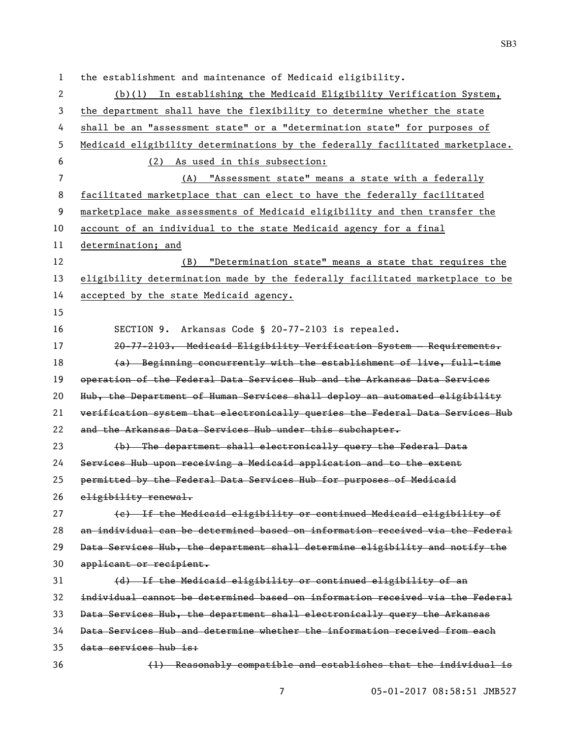the establishment and maintenance of Medicaid eligibility. (b)(1) In establishing the Medicaid Eligibility Verification System, the department shall have the flexibility to determine whether the state shall be an "assessment state" or a "determination state" for purposes of Medicaid eligibility determinations by the federally facilitated marketplace. (2) As used in this subsection: (A) "Assessment state" means a state with a federally facilitated marketplace that can elect to have the federally facilitated marketplace make assessments of Medicaid eligibility and then transfer the account of an individual to the state Medicaid agency for a final determination; and (B) "Determination state" means a state that requires the eligibility determination made by the federally facilitated marketplace to be accepted by the state Medicaid agency. SECTION 9. Arkansas Code § 20-77-2103 is repealed. 20-77-2103. Medicaid Eligibility Verification System — Requirements. 18 (a) Beginning concurrently with the establishment of live, full-time operation of the Federal Data Services Hub and the Arkansas Data Services Hub, the Department of Human Services shall deploy an automated eligibility verification system that electronically queries the Federal Data Services Hub 22 and the Arkansas Data Services Hub under this subchapter. (b) The department shall electronically query the Federal Data Services Hub upon receiving a Medicaid application and to the extent permitted by the Federal Data Services Hub for purposes of Medicaid 26 eligibility renewal. (c) If the Medicaid eligibility or continued Medicaid eligibility of an individual can be determined based on information received via the Federal Data Services Hub, the department shall determine eligibility and notify the applicant or recipient. (d) If the Medicaid eligibility or continued eligibility of an individual cannot be determined based on information received via the Federal Data Services Hub, the department shall electronically query the Arkansas Data Services Hub and determine whether the information received from each data services hub is: (1) Reasonably compatible and establishes that the individual is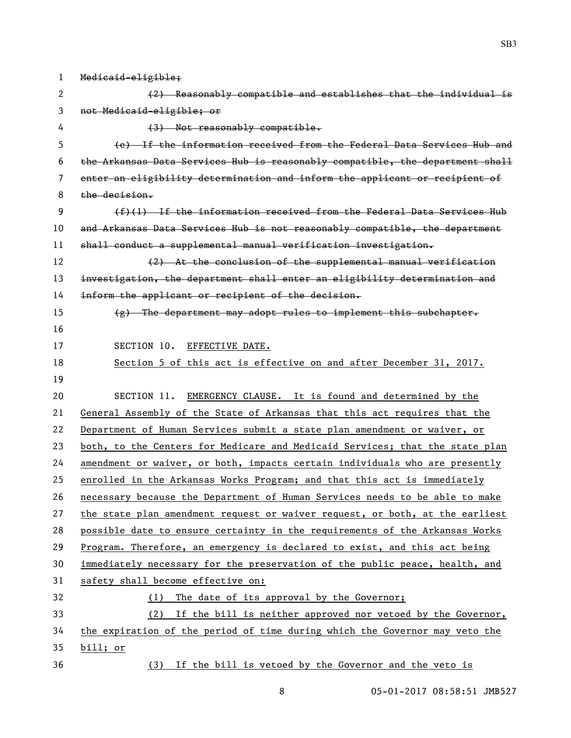| 1  | Medicaid-eligible;                                                            |
|----|-------------------------------------------------------------------------------|
| 2  | (2) Reasonably compatible and establishes that the individual is              |
| 3  | not Medicaid-eligible; or                                                     |
| 4  | $(3)$ Not reasonably compatible.                                              |
| 5  | (e) If the information received from the Federal Data Services Hub and        |
| 6  | the Arkansas Data Services Hub is reasonably compatible, the department shall |
| 7  | enter an eligibility determination and inform the applicant or recipient of   |
| 8  | the decision.                                                                 |
| 9  | $(f)(1)$ If the information received from the Federal Data Services Hub       |
| 10 | and Arkansas Data Services Hub is not reasonably compatible, the department   |
| 11 | shall conduct a supplemental manual verification investigation.               |
| 12 | (2) At the conclusion of the supplemental manual verification                 |
| 13 | investigation, the department shall enter an eligibility determination and    |
| 14 | inform the applicant or recipient of the decision.                            |
| 15 | $(g)$ The department may adopt rules to implement this subchapter.            |
| 16 |                                                                               |
| 17 | SECTION 10.<br>EFFECTIVE DATE.                                                |
| 18 | Section 5 of this act is effective on and after December 31, 2017.            |
| 19 |                                                                               |
| 20 | SECTION 11.<br>EMERGENCY CLAUSE. It is found and determined by the            |
| 21 | General Assembly of the State of Arkansas that this act requires that the     |
| 22 | Department of Human Services submit a state plan amendment or waiver, or      |
| 23 | both, to the Centers for Medicare and Medicaid Services; that the state plan  |
| 24 | amendment or waiver, or both, impacts certain individuals who are presently   |
| 25 | enrolled in the Arkansas Works Program; and that this act is immediately      |
| 26 | necessary because the Department of Human Services needs to be able to make   |
| 27 | the state plan amendment request or waiver request, or both, at the earliest  |
| 28 | possible date to ensure certainty in the requirements of the Arkansas Works   |
| 29 | Program. Therefore, an emergency is declared to exist, and this act being     |
| 30 | immediately necessary for the preservation of the public peace, health, and   |
| 31 | safety shall become effective on:                                             |
| 32 | The date of its approval by the Governor;<br>(1)                              |
| 33 | (2) If the bill is neither approved nor vetoed by the Governor,               |
| 34 | the expiration of the period of time during which the Governor may veto the   |
| 35 | bill; or                                                                      |
| 36 | (3) If the bill is vetoed by the Governor and the veto is                     |

8 05-01-2017 08:58:51 JMB527

SB3